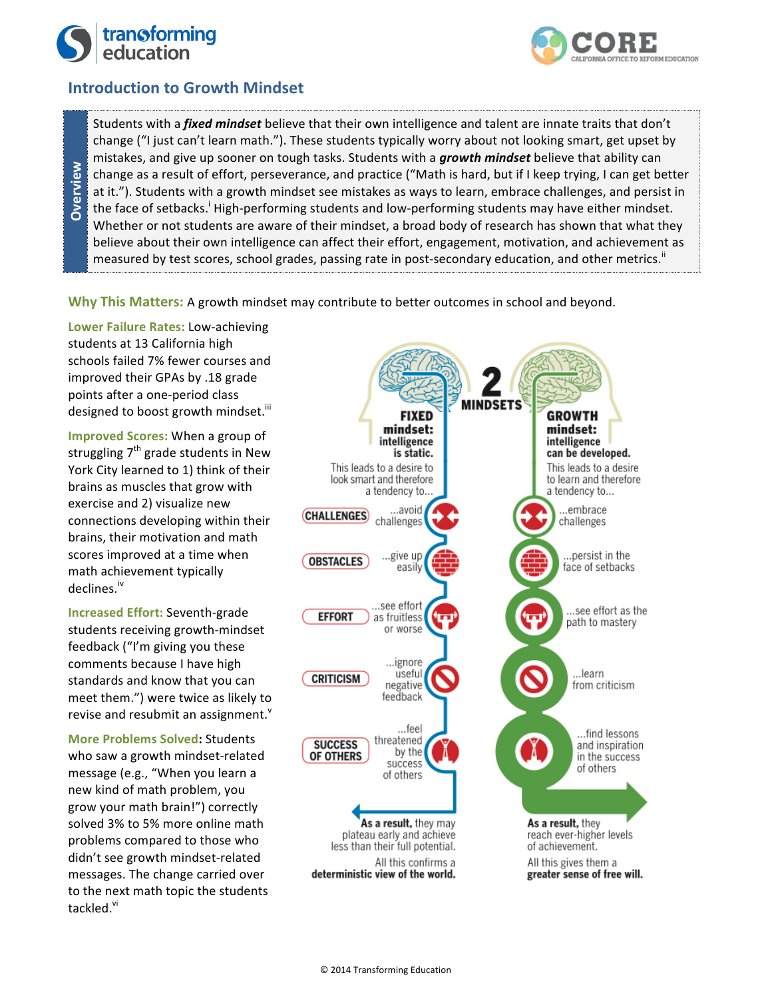

**Overview**

**Dverview** 



## **Introduction to Growth Mindset**

Students with a *fixed mindset* believe that their own intelligence and talent are innate traits that don't change ("I just can't learn math."). These students typically worry about not looking smart, get upset by mistakes, and give up sooner on tough tasks. Students with a *growth mindset* believe that ability can change as a result of effort, perseverance, and practice ("Math is hard, but if I keep trying, I can get better at it."). Students with a growth mindset see mistakes as ways to learn, embrace challenges, and persist in the face of setbacks.<sup>i</sup> High-performing students and low-performing students may have either mindset. Whether or not students are aware of their mindset, a broad body of research has shown that what they believe about their own intelligence can affect their effort, engagement, motivation, and achievement as measured by test scores, school grades, passing rate in post-secondary education, and other metrics.<sup>"</sup>

**Why This Matters:** A growth mindset may contribute to better outcomes in school and beyond.

**Lower Failure Rates: Low-achieving** students at 13 California high schools failed 7% fewer courses and improved their GPAs by .18 grade points after a one-period class designed to boost growth mindset.<sup>iii</sup>

**Improved Scores:** When a group of struggling  $7<sup>th</sup>$  grade students in New York City learned to 1) think of their brains as muscles that grow with exercise and 2) visualize new connections developing within their brains, their motivation and math scores improved at a time when math achievement typically declines. iv

**Increased Effort:** Seventh-grade students receiving growth-mindset feedback ("I'm giving you these comments because I have high standards and know that you can meet them.") were twice as likely to revise and resubmit an assignment. $^{\text{v}}$ 

**More Problems Solved: Students** who saw a growth mindset-related message (e.g., "When you learn a new kind of math problem, you grow your math brain!") correctly solved 3% to 5% more online math problems compared to those who didn't see growth mindset-related messages. The change carried over to the next math topic the students tackled.<sup>vi</sup>